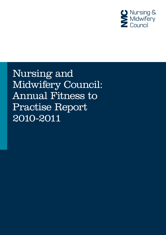

Nursing and Midwifery Council: Annual Fitness to Practise Report 2010-2011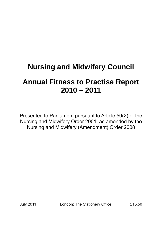# **Nursing and Midwifery Council**

## **Annual Fitness to Practise Report 2010 – 2011**

Presented to Parliament pursuant to Article 50(2) of the Nursing and Midwifery Order 2001, as amended by the Nursing and Midwifery (Amendment) Order 2008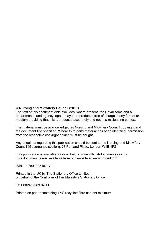#### **© Nursing and Midwifery Council (2011)**

The text of this document (this excludes, where present, the Royal Arms and all departmental and agency logos) may be reproduced free of charge in any format or medium providing that it is reproduced accurately and not in a misleading context

The material must be acknowledged as Nursing and Midwifery Council copyright and the document title specified. Where third party material has been identified, permission from the respective copyright holder must be sought.

Any enquiries regarding this publication should be sent to the Nursing and Midwifery Council (Governance section), 23 Portland Place, London W1B 1PZ.

This publication is available for download at www.official-documents.gov.uk. This document is also available from our website at www.nmc-uk.org

ISBN: 9780108510717

Printed in the UK by The Stationery Office Limited on behalf of the Controller of Her Majesty's Stationery Office

ID: P002439989 07/11

Printed on paper containing 75% recycled fibre content minimum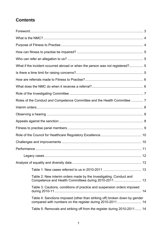## **Contents**

| What if the incident occurred abroad or when the person was not registered? 5 |  |
|-------------------------------------------------------------------------------|--|
|                                                                               |  |
|                                                                               |  |
|                                                                               |  |
|                                                                               |  |
| Roles of the Conduct and Competence Committee and the Health Committee  7     |  |
|                                                                               |  |
|                                                                               |  |
|                                                                               |  |
|                                                                               |  |
|                                                                               |  |
|                                                                               |  |
|                                                                               |  |
|                                                                               |  |
|                                                                               |  |
|                                                                               |  |
| Table 2: New interim orders made by the Investigating, Conduct and            |  |
| Table 3: Cautions, conditions of practice and suspension orders imposed       |  |
| Table 4: Sanctions imposed (other than striking off) broken down by gender    |  |
| Table 5: Removals and striking off from the register during 2010-2011 14      |  |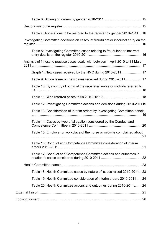| Table 7: Applications to be restored to the register by gender 2010-2011 16        |  |
|------------------------------------------------------------------------------------|--|
| Investigating Committee decisions on cases of fraudulent or incorrect entry on the |  |
| Table 8: Investigating Committee cases relating to fraudulent or incorrect         |  |
| Analysis of fitness to practise cases dealt with between 1 April 2010 to 31 March  |  |
| Graph 1: New cases received by the NMC during 2010-2011  17                        |  |
| Table 9: Action taken on new cases received during 2010-2011 17                    |  |
| Table 10: By country of origin of the registered nurse or midwife referred to      |  |
|                                                                                    |  |
| Table 12: Investigating Committee actions and decisions during 2010-201119         |  |
| Table 13: Consideration of Interim orders by Investigating Committee panels        |  |
| Table 14: Cases by type of allegation considered by the Conduct and                |  |
| Table 15: Employer or workplace of the nurse or midwife complained about           |  |
| Table 16: Conduct and Competence Committee consideration of interim                |  |
| Table 17: Conduct and Competence Committee actions and outcomes in                 |  |
|                                                                                    |  |
| Table 18: Health Committee cases by nature of issues raised 2010-2011  23          |  |
| Table 19: Health Committee consideration of interim orders 2010-2011  24           |  |
| Table 20: Health Committee actions and outcomes during 2010-2011 24                |  |
|                                                                                    |  |
|                                                                                    |  |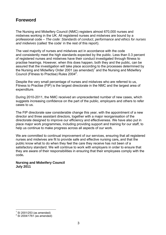### **Foreword**

The Nursing and Midwifery Council (NMC) registers almost 670,000 nurses and midwives working in the UK. All registered nurses and midwives are bound by a professional code – *The code: Standards of conduct, performance and ethics for nurses and midwives* (called 'the code' in the rest of this report).

The vast majority of nurses and midwives act in accordance with the code and consistently meet the high standards expected by the public. Less than 0.3 percent of registered nurses and midwives have their conduct investigated through fitness to practise hearings. However, when this does happen, both they and the public, can be assured that the investigation will take place according to the processes determined by the Nursing and Midwifery Order 2001 (as amended)<sup>1</sup> and the Nursing and Midwifery Council (Fitness to Practise) Rules 2004<sup>2</sup>.

Despite the very small percentage of nurses and midwives who are referred to us, Fitness to Practise (FtP) is the largest directorate in the NMC and the largest area of expenditure.

During 2010-2011, the NMC received an unprecedented number of new cases, which suggests increasing confidence on the part of the public, employers and others to refer cases to us.

The FtP directorate saw considerable change this year, with the appointment of a new director and three assistant directors, together with a major reorganisation of the directorate designed to improve our efficiency and effectiveness. We have also put in place major work programmes, including providing support and training for our staff, to help us continue to make progress across all aspects of our work.

We are committed to continual improvement of our services, ensuring that all registered nurses and midwives are fit to provide safe and effective nursing care**,** and that the public know what to do when they feel the care they receive has not been of a satisfactory standard. We will continue to work with employers in order to ensure that they are aware of their responsibilities in ensuring that their employees comply with the code**.** 

#### **Nursing and Midwifery Council July 2011**

 $\overline{a}$ 

<sup>1</sup> SI 2001/253 (as amended)

 $^{2}$  SI 2004/1761 (as amended)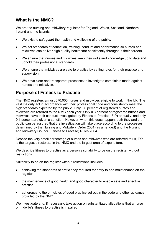### **What is the NMC?**

We are the nursing and midwifery regulator for England, Wales, Scotland, Northern Ireland and the Islands.

- We exist to safeguard the health and wellbeing of the public.
- We set standards of education, training, conduct and performance so nurses and midwives can deliver high quality healthcare consistently throughout their careers.
- We ensure that nurses and midwives keep their skills and knowledge up to date and uphold their professional standards.
- We ensure that midwives are safe to practise by setting rules for their practice and supervision.
- We have clear and transparent processes to investigate complaints made against nurses and midwives.

### **Purpose of Fitness to Practise**

The NMC registers almost 670,000 nurses and midwives eligible to work in the UK. The vast majority act in accordance with their professional code and consistently meet the high standards expected by the public. Only 0.6 percent of registered nurses and midwives are referred to the NMC each year. Only 0.3 percent of registered nurses and midwives have their conduct investigated by Fitness to Practise (FtP) annually, and only 0.1 percent are given a sanction. However, when this does happen, both they and the public can be assured that the investigation will take place according to the processes determined by the Nursing and Midwifery Order 2001 (as amended) and the Nursing and Midwifery Council (Fitness to Practise) Rules 2004.

Despite the very small percentage of nurses and midwives who are referred to us, FtP is the largest directorate in the NMC and the largest area of expenditure.

We describe fitness to practise as a person's suitability to be on the register without restrictions.

Suitability to be on the register without restrictions includes:

- achieving the standards of proficiency required for entry to and maintenance on the register
- the maintenance of good health and good character to enable safe and effective practice
- adherence to the principles of good practice set out in the code and other quidance provided by the NMC.

We investigate and, if necessary, take action on substantiated allegations that a nurse or midwife's fitness to practise is impaired.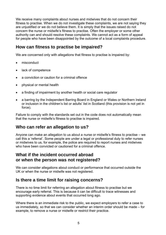We receive many complaints about nurses and midwives that do not concern their fitness to practise. When we do not investigate these complaints, we are not saying they are unjustified or we do not believe them. It is simply that the issues raised do not concern the nurse or midwife's fitness to practise. Often the employer or some other authority can and should resolve these complaints. We cannot act as a form of appeal for people who have been disappointed by the outcome of a local complaints procedure.

### **How can fitness to practise be impaired?**

We are concerned only with allegations that fitness to practise is impaired by:

- misconduct
- lack of competence
- a conviction or caution for a criminal offence
- physical or mental health
- a finding of impairment by another health or social care regulator
- a barring by the Independent Barring Board in England or Wales or Northern Ireland or inclusion in the children's list or adults' list in Scotland (this provision is not yet in force).

Failure to comply with the standards set out in the code does not automatically mean that the nurse or midwife's fitness to practise is impaired.

### **Who can refer an allegation to us?**

Anyone can make an allegation to us about a nurse or midwife's fitness to practise – we call this a 'referral'. Some people are under a legal or professional duty to refer nurses or midwives to us, for example, the police are required to report nurses and midwives who have been convicted or cautioned for a criminal offence

### **What if the incident occurred abroad or when the person was not registered?**

We can consider allegations about conduct or performance that occurred outside the UK or when the nurse or midwife was not registered.

### **Is there a time limit for raising concerns?**

There is no time limit for referring an allegation about fitness to practise but we encourage early referral. This is because it can be difficult to trace witnesses and supporting evidence about events that occurred long ago.

Where there is an immediate risk to the public, we expect employers to refer a case to us immediately, so that we can consider whether an interim order should be made – for example, to remove a nurse or midwife or restrict their practice.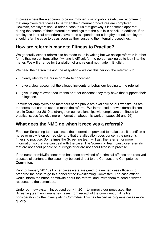In cases where there appears to be no imminent risk to public safety, we recommend that employers refer cases to us when their internal procedures are completed. However, employers should refer a case to us straightaway if it becomes apparent during the course of their internal proceedings that the public is at risk. In addition, if an employer's internal procedures have to be suspended for a lengthy period, employers should refer the case to us as soon as they suspend the internal proceedings.

### **How are referrals made to Fitness to Practise?**

We generally expect referrals to be made to us in writing but we accept referrals in other forms that we can transcribe if writing is difficult for the person asking us to look into the matter. We will arrange for translation of any referral not made in English.

We need the person making the allegation – we call this person 'the referrer' - to:

- clearly identify the nurse or midwife concerned
- give a clear account of the alleged incidents or behaviour leading to the referral
- give us any relevant documents or other evidence they may have that supports their allegation.

Leaflets for employers and members of the public are available on our website, as are the forms that can be used to make the referral. We introduced a new external liaison role in December 2010 to strengthen our relationships with employers on fitness to practise issues (we give more information about this work on pages 25 and 26).

### **What does the NMC do when it receives a referral?**

First, our Screening team assesses the information provided to make sure it identifies a nurse or midwife on our register and that the allegation does concern the person's fitness to practise. Sometimes the Screening team will ask the referrer for more information so that we can deal with the case. The Screening team can close referrals that are not about people on our register or are not about fitness to practise.

If the nurse or midwife concerned has been convicted of a criminal offence and received a custodial sentence, the case may be sent direct to the Conduct and Competence **Committee.** 

Prior to January 2011, all other cases were assigned to a named case officer who prepared the case to go to a panel of the Investigating Committee. The case officer would inform the nurse or midwife about the referral and invite them to send a written response to the committee.

Under our new system introduced early in 2011 to improve our processes, the Screening team now manages cases from receipt of the complaint until its first consideration by the Investigating Commitee. This has helped us progress cases more quickly.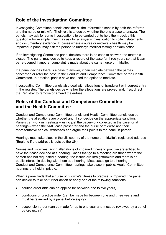### **Role of the Investigating Committee**

Investigating Committee panels consider all the information sent in by both the referrer and the nurse or midwife. Their role is to decide whether there is a case to answer. The panels may ask for some investigations to be carried out to help them decide this question – for example, they may ask for a lawyer's investigation to collect statements and documentary evidence. In cases where a nurse or midwife's health may be impaired, a panel may ask the person to undergo medical testing or examination.

If an Investigating Committee panel decides there is no case to answer, the matter is closed. The panel may decide to keep a record of the case for three years so that it can be re-opened if another complaint is made about the same nurse or midwife.

If a panel decides there is a case to answer, it can mediate between the parties concerned or refer the case to the Conduct and Competence Committee or the Health Committee. In practice, panels have not used the option to mediate.

Investigating Committee panels also deal with allegations of fraudulent or incorrect entry in the register. The panels decide whether the allegations are proved and, if so, direct the Registrar to remove or amend the entries.

### **Roles of the Conduct and Competence Committee and the Health Committee**

Conduct and Competence Committee panels and Health Committee panels decide whether the allegations are proved and, if so, decide on the appropriate sanction. Panels can work in meetings – using just the paperwork collected in the case, or at hearings – when the NMC case presenter and the nurse or midwife and their representative can call witnesses and argue their points to the panel in person.

Hearings must take place in the UK country of the nurse or midwife's registered address (England if the address is outside the UK).

Nurses and midwives facing allegations of impaired fitness to practise are entitled to have their case decided at a hearing. Cases that go to a meeting are those where the person has not requested a hearing, the issues are straightforward and there is no public interest in dealing with them at a hearing. Most cases go to a hearing. Conduct and Competence Committee hearings take place in public; Health Committee hearings are held in private.

When a panel finds that a nurse or midwife's fitness to practise is impaired, the panel can decide to take no further action or apply one of the following sanctions:

- caution order (this can be applied for between one to five years)
- conditions of practice order (can be made for between one and three years and must be reviewed by a panel before expiry)
- suspension order (can be made for up to one year and must be reviewed by a panel before expiry)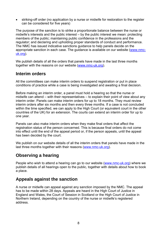striking-off order (no application by a nurse or midwife for restoration to the register can be considered for five years)

The purpose of the sanction is to strike a proportionate balance between the nurse or midwife's interests and the public interest – by the public interest we mean: protecting members of the public; maintaining public confidence in the professions and the regulator; and declaring and upholding proper standards of conduct and performance. The NMC has issued indicative sanctions guidance to help panels decide on the appropriate sanction in each case. The guidance is available on our website (www.nmcuk.org).

We publish details of all the orders that panels have made in the last three months together with the reasons on our website (www.nmc-uk.org).

### **Interim orders**

All the committees can make interim orders to suspend registration or put in place conditions of practice while a case is being investigated and awaiting a final decision.

Before making an interim order, a panel must hold a hearing so that the nurse or midwife can attend – with their representatives – to explain their point of view about any interim order. Panels can make interim orders for up to 18 months. They must review interim orders after six months and then every three months. If a case is not concluded within the time specified, we can apply to the High Court (or equivalent court in the other countries of the UK) for an extension. The courts can extend an interim order for up to one year.

Panels can also make interim orders when they make final orders that affect the registration status of the person concerned. This is because final orders do not come into effect until the end of the appeal period or, if the person appeals, until the appeal has been decided by the court.

We publish on our website details of all the interim orders that panels have made in the last three months together with their reasons (www.nmc-uk.org).

### **Observing a hearing**

People who wish to attend a hearing can go to our website (www.nmc-uk.org) where we publish details of all hearings open to the public, together with details about how to book a place.

### **Appeals against the sanction**

A nurse or midwife can appeal against any sanction imposed by the NMC. The appeal has to be made within 28 days. Appeals are heard in the High Court of Justice in England and Wales, the Court of Session in Scotland or the High Court of Justice in Northern Ireland, depending on the country of the nurse or midwife's registered address.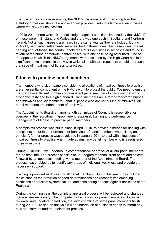The role of the courts in examining the NMC's decisions and considering how the statutory provisions should be applied often provides useful guidance – even in cases where the NMC is unsuccessful.

In 2010-2011, there were 19 appeals lodged against sanctions imposed by the NMC: 17 of these were in England and Wales and there was one each in Scotland and Northern Ireland. Not all such appeals are heard in the same year as they are lodged. During 2010-11, negotiated settlements were reached in three cases. Ten cases went to a full hearing and, of those, the courts upheld the NMC's decisions in six cases and found in favour of the nurse or midwife in three cases, with one case being adjourned. One of the appeals in which the NMC's arguments were accepted by the High Court has led to significant developments in the way in which all healthcare regulators should approach the issue of impairment of fitness to practise.

### **Fitness to practise panel members**

The members who sit on panels considering allegations of impaired fitness to practise are an essential component of the NMC's work to protect the public. We need to ensure that we have sufficient numbers of competent panel members to carry out that work efficiently, fairly and to a high standard. Panel members are a mix of registered nurses and midwives and lay members – that is, people who are not nurses or midwives. All panel members are independent of the NMC.

The Appointments Board, an arms-length committee of Council, is responsible for overseeing the recruitment, appointment, appraisal, training and performance management of fitness to practise panel members.

A complaints process was put in place in April 2010, to provide a means for dealing with complaints about the performance or behaviour of panel members when sitting on panels. A further process was developed in January 2011 to deal with allegations of impaired fitness to practise when made against any panel member who is a registered nurse or midwife.

During 2010-2011, we undertook a comprehensive appraisal of all our panel members for the first time. The process consists of 360-degree feedback from peers and officers, followed by an appraisal meeting with a member of the Appointments Board. The process has enabled us to identify any areas of individual weakness and provide the necessary support.

Training is provided each year for all panel members. During this year it has included topics such as the provision of good determinations and reasons; implementing conditions of practice; systems failure; and considering appeals against decisions of the Registrar.

During the coming year, the complete appraisal process will be reviewed and changes made where necessary. The competency framework for panel members will also be reviewed and updated. In addition, the terms of office of some panel members finish during 2011-2012 and an analysis will be undertaken of business needs to inform any new appointment and reappointment process.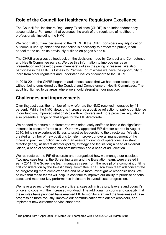### **Role of the Council for Healthcare Regulatory Excellence**

The Council for Healthcare Regulatory Excellence (CHRE) is an independent body accountable to Parliament that oversees the work of the regulators of healthcare professionals, including the NMC.

We report all our final decisions to the CHRE. If the CHRE considers any adjudication outcome is unduly lenient and that action is necessary to protect the public, it can appeal to the courts as previously outlined on pages 8 and 9.

The CHRE also gives us feedback on the decisions made by Conduct and Competence and Health Committee panels. We use this information to improve our case presentation and develop panel members' skills in the giving of reasons. We also participate in the CHRE's Fitness to Practise Forum where we have the opportunity to learn from other regulators and understand issues of concern to the CHRE.

In 2010-2011, the CHRE began to audit those cases that we had been closed by us without being considered by the Conduct and Competence or Health Committees. The audit highlighted to us areas where we should strengthen our practice.

### **Challenges and improvements**

Over the past year, the number of new referrals the NMC received increased by 41 percent.<sup>3</sup> While the NMC views this increase as a positive reflection of public confidence in our function, improved relationships with employers and more proactive regulation, it also presents a range of challenges for the FtP directorate.

We needed to ensure our directorate was adequately staffed to handle the significant increase in cases referred to us. Our newly appointed FtP director started in August 2010, bringing experienced fitness to practise leadership to the directorate. We also created a number of new positions to help improve our overall management of the fitness to practise function, including an assistant director of operations, assistant director (legal), assistant director (policy, strategy and legislation) a head of external liaison, a head of screening and administration and a head of adjudication.

We restructured the FtP directorate and reorganised how we manage our caseload. Two new case teams, the Screening team and the Escalation team, were created in early 2011. The Screening team manages cases from the receipt of a complaint until its first consideration by the Investigating Committee. The Escalation team will concentrate on progressing more complex cases and have more investigative responsibilities. We believe that these teams will help us continue to improve our ability to prioritise serious cases and meet our key performance indicators in overall case progression.

We have also recruited more case officers, case administrators, lawyers and council's officers to cope with the increased workload. The additional functions and capacity that these roles have provided have enabled FtP to monitor staff and the timeliness of case progression more robustly, improve our communication with our stakeholders, and implement new customer service standards.

 $\overline{a}$  $3$  The period from 1 April 2010–31 March 2011 compared with 1 April 2009–31 March 2010.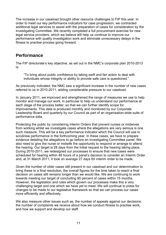The increase in our caseload brought other resource challenges to FtP this year. In order to meet our key performance indicators for case progression, we contracted additional legal services to assist with the preparation of cases for consideration by the Investigating Committee. We recently completed a full procurement exercise for new legal service providers, which we believe will help us continue to improve our performance with quality investigation work and eliminate unnecessary delays in the fitness to practise process going forward.

### **Performance**

The FtP directorate's key objective, as set out in the NMC's corporate plan 2010-2013 is:

"To bring about public confidence by taking swift and fair action to deal with individuals whose integrity or ability to provide safe care is questioned."

As previously indicated, the NMC saw a significant increase in the number of new cases referred to us in 2010-2011, adding considerable pressure to our caseload.

In January 2011, we improved and strengthened the range of measures we use to help monitor and manage our work, in particular to help us understand our performance at each stage of the process better, so that we can further identify scope for improvements. This data is produced monthly and monitored by our Corporate Leadership Board and quarterly by our Council as part of an organisation-wide suite of performance data.

Protecting the public by considering Interim Orders that prevent nurses or midwives from working whilst we investigate cases where the allegations are very serious is one such measure. This will be a key performance indicator which the Council will use to scrutinise performance in the forthcoming year. In these cases, we have to prepare evidence detailing the allegations to go before an Investigating Committee panel. We also need to give the nurse or midwife the opportunity to respond or arrange to attend the hearing. Our target is 28 days from the initial request to the hearing taking place. During 2010-2011, we redesigned our processes to ensure that new cases were scheduled for hearing within 48 hours of a panel's decision to consider an Interim Order and, at 31 March 2011, it took on average 27 days for interim order to be made.

Given the number of older cases still present in our caseload and our determination to bring these to a final resolution, the overall figures for the time taken to reach a final decision on cases still remains longer than we would like. We are continuing to work towards meeting our target of concluding 90 percent of cases within 15 months. However, the legislation and rules which govern our processes make this a very challenging target and one which we have yet to meet. We will continue to press for changes to be made to our legislative framework so that we can process our cases more efficiently and effectively.

We also measure other issues such as, the number of appeals against our decisions; the number of complaints we receive about how we conduct fitness to practise work; and how we support and develop our staff.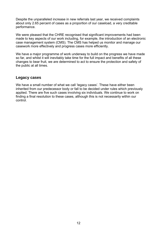Despite the unparalleled increase in new referrals last year, we received complaints about only 2.65 percent of cases as a proportion of our caseload, a very creditable performance.

We were pleased that the CHRE recognised that significant improvements had been made to key aspects of our work including, for example, the introduction of an electronic case management system (CMS). The CMS has helped us monitor and manage our casework more effectively and progress cases more efficiently.

We have a major programme of work underway to build on the progress we have made so far, and whilst it will inevitably take time for the full impact and benefits of all these changes to bear fruit, we are determined to act to ensure the protection and safety of the public at all times.

#### **Legacy cases**

We have a small number of what we call 'legacy cases'. These have either been inherited from our predecessor body or fall to be decided under rules which previously applied. There are five such cases involving six individuals. We continue to work on finding a final resolution to these cases, although this is not necessarily within our control.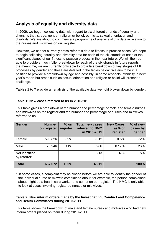### **Analysis of equality and diversity data**

In 2009, we began collecting data with regard to six different strands of equality and diversity: that is, age, gender, religion or belief, ethnicity, sexual orientation and disability. We are about to commence a programme of analysis of this data in relation to the nurses and midwives on our register.

However, we cannot currently cross-refer this data to fitness to practise cases. We hope to begin collecting equality and diversity data for each of the six strands at each of the significant stages of our fitness to practise process in the near future. We will then be able to provide a much fuller breakdown for each of the six strands in future reports. In the meantime, we are currently only able to provide a breakdown of key stages of FtP processes by gender and these are detailed in the tables below. We aim to be in a position to provide a breakdown by age and possibly, in some respects, ethnicity in next year's report but areas such as sexual orientation and religion or belief will present a challenge.

**Tables 1 to 7** provide an analysis of the available data we hold broken down by gender.

#### **Table 1: New cases referred to us in 2010-2011**

| <b>Gender</b>                  | <b>Number</b><br>on register | $%$ on<br>register | <b>Total new cases</b><br>referred to NMC<br>in 2010-2011 | <b>New Cases</b><br>as% of<br>register | % of new<br>cases by<br>gender |
|--------------------------------|------------------------------|--------------------|-----------------------------------------------------------|----------------------------------------|--------------------------------|
| Female                         | 596,826                      | 89%                | 3,012                                                     | 0.5%                                   | 72%                            |
| Male                           | 70,246                       | 11%                | 986                                                       | 0.17%                                  | 23%                            |
| Not identified<br>by referrer* |                              |                    | 213                                                       | N/A                                    | 5%                             |
| <b>Total</b>                   | 667,072                      | 100%               | 4,211                                                     |                                        | 100%                           |

This table gives a breakdown of the number and percentage of male and female nurses and midwives on the register and the number and percentage of nurses and midwives referred to us.

\* In some cases, a complaint may be closed before we are able to identify the gender of the individual nurse or midwife complained about: for example, the person complained about might be a health care worker and so not on our register. The NMC is only able to look at cases involving registered nurses or midwives.

#### **Table 2: New interim orders made by the Investigating, Conduct and Competence and Health Committees during 2010-2011**

This table shows the breakdown of male and female nurses and midwives who had new interim orders placed on them during 2010-2011.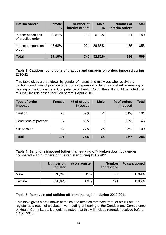| Interim orders                          | <b>Female</b><br>$\frac{0}{0}$ | <b>Number of</b><br>interim orders | <b>Male</b><br>% | <b>Number of</b><br>interim orders | <b>Total</b> |
|-----------------------------------------|--------------------------------|------------------------------------|------------------|------------------------------------|--------------|
| Interim conditions<br>of practice order | 23.51%                         | 119                                | 6.13%            | 31                                 | 150          |
| Interim suspension<br>order             | 43.68%                         | 221                                | 26.68%           | 135                                | 356          |
| <b>Total</b>                            | 67.19%                         | 340                                | 32.81%           | 166                                | 506          |

#### **Table 3: Cautions, conditions of practice and suspension orders imposed during 2010-11**

This table gives a breakdown by gender of nurses and midwives who received a caution; conditions of practice order; or a suspension order at a substantive meeting or hearing of the Conduct and Competence or Health Committees. It should be noted that this may include cases received before 1 April 2010.

| Type of order<br>imposed | <b>Female</b> | % of orders<br><b>imposed</b> | <b>Male</b> | % of orders<br>imposed | <b>Total</b> |
|--------------------------|---------------|-------------------------------|-------------|------------------------|--------------|
| Caution                  | 70            | 69%                           | 31          | 31%                    | 101          |
| Conditions of practice   | 37            | 80%                           | 9           | 20%                    | 46           |
| Suspension               | 84            | 77%                           | 25          | 23%                    | 109          |
| <b>Total</b>             | 191           | 75%                           | 65          | 25%                    | 256          |

#### **Table 4: Sanctions imposed (other than striking off) broken down by gender compared with numbers on the register during 2010-2011**

|        | <b>Number on</b><br>register | % on register | <b>Number</b><br>sanctioned | % sanctioned |
|--------|------------------------------|---------------|-----------------------------|--------------|
| Male   | 70,246                       | 11%           | 65                          | 0.09%        |
| Female | 596,826                      | 89%           | 191                         | 0.03%        |

#### **Table 5: Removals and striking off from the register during 2010-2011**

This table gives a breakdown of males and females removed from, or struck off, the register as a result of a substantive meeting or hearing of the Conduct and Competence or Health Committees. It should be noted that this will include referrals received before 1 April 2010.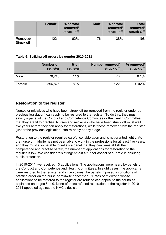|                        | <b>Female</b> | % of total<br>removed/<br>struck off | <b>Male</b> | % of total<br>removed/<br>struck off | <b>Total</b><br>removed/<br>struck Off |
|------------------------|---------------|--------------------------------------|-------------|--------------------------------------|----------------------------------------|
| Removed/<br>Struck off | 122           | 62%                                  | 76          | 38%                                  | 198                                    |

#### **Table 6: Striking off orders by gender 2010-2011**

|        | <b>Number on</b><br>register | $%$ on<br>register | Number removed/<br>struck off | % removed/<br>struck off |
|--------|------------------------------|--------------------|-------------------------------|--------------------------|
| Male   | 70,246                       | 11%                | 76                            | 0.1%                     |
| Female | 596,826                      | 89%                | 122                           | 0.02%                    |

### **Restoration to the register**

Nurses or midwives who have been struck off (or removed from the register under our previous legislation) can apply to be restored to the register. To do this, they must satisfy a panel of the Conduct and Competence Committee or the Health Committee that they are fit to practise. Nurses and midwives who have been struck off must wait five years before they can apply for restorations, whilst those removed from the register (under the previous legislation) can re-apply at any stage.

Restoration to the register requires careful consideration and is not granted lightly. As the nurse or midwife has not been able to work in the professions for at least five years, and they must also be able to satisfy a panel that they can re-establish their competence and practise safely, the number of applications for restoration to the register is low. We consider this stringent test a further aspect of our role in ensuring public protection.

In 2010-2011, we received 13 applications. The applications were heard by panels of the Conduct and Competence and Health Committees. In eight cases, the applicants were restored to the register and in two cases, the panels imposed a conditions of practice order on the nurse or midwife concerned. Nurses or midwives whose applications to be restored to the register are refused can appeal to the courts as explained on pages 8 to 9. None of those refused restoration to the register in 2010- 2011 appealed against the NMC's decision.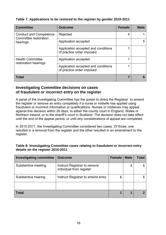| <b>Committee</b>                                                   | <b>Outcome</b>                                                   | <b>Female</b> | <b>Male</b> |
|--------------------------------------------------------------------|------------------------------------------------------------------|---------------|-------------|
| <b>Conduct and Competence</b><br>Committee restoration<br>hearings | Rejected                                                         | 4             |             |
|                                                                    | Application accepted                                             |               | 5           |
|                                                                    | Application accepted and conditions<br>of practice order imposed |               |             |
| <b>Health Committee</b><br>restoration hearings                    | Application accepted                                             |               |             |
|                                                                    | Application accepted and conditions<br>of practice order imposed |               |             |
| <b>Total</b>                                                       |                                                                  |               |             |

#### **Investigating Committee decisions on cases of fraudulent or incorrect entry on the register**

A panel of the Investigating Committee has the power to direct the Registrar to amend the register or remove an entry completely if a nurse or midwife has applied using fraudulent or incorrect information or qualifications. Nurses or midwives may appeal against this decision within 28 days, to either the county court in England, Wales or Northern Ireland, or to the sheriff's court in Scotland. The decision does not take effect until the end of the appeal period, or until any considerations of appeal are completed.

In 2010-2011, the Investigating Committee considered two cases. Of those, one resulted in a removal from the register and the other resulted in an amendment to the register.

| Table 8: Investigating Committee cases relating to fraudulent or incorrect entry |
|----------------------------------------------------------------------------------|
| details on the register 2010-2011                                                |

| <b>Investigating committee</b> | <b>Outcome</b>                                           | <b>Female</b> | <b>Male</b> | Total |
|--------------------------------|----------------------------------------------------------|---------------|-------------|-------|
| Substantive meeting            | Instruct Registrar to remove<br>individual from register |               |             |       |
| Substantive hearing            | Instruct Registrar to amend entry                        |               |             |       |
|                                |                                                          |               |             |       |
| <b>Total</b>                   |                                                          |               | 4           |       |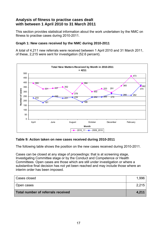#### **Analysis of fitness to practise cases dealt with between 1 April 2010 to 31 March 2011**

This section provides statistical information about the work undertaken by the NMC on fitness to practise cases during 2010-2011.

#### **Graph 1: New cases received by the NMC during 2010-2011**

A total of 4,211 new referrals were received between 1 April 2010 and 31 March 2011, of these, 2,215 were sent for investigation (52.6 percent).



#### **Table 9: Action taken on new cases received during 2010-2011**

The following table shows the position on the new cases received during 2010-2011.

Cases can be closed at any stage of proceedings: that is at screening stage, Investigating Committee stage or by the Conduct and Competence or Health Committees. Open cases are those which are still under investigation or where a substantive final decision has not yet been reached and may include those where an interim order has been imposed.

| Cases closed                       | 1.996 |
|------------------------------------|-------|
| Open cases                         | 2,215 |
| Total number of referrals received | 4,211 |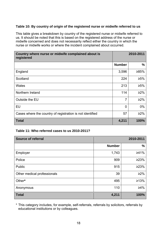#### **Table 10: By country of origin of the registered nurse or midwife referred to us**

This table gives a breakdown by country of the registered nurse or midwife referred to us. It should be noted that this is based on the registered address of the nurse or midwife concerned and does not necessarily reflect either the country in which the nurse or midwife works or where the incident complained about occurred.

| Country where nurse or midwife complained about is<br>registered |               | 2010-2011  |
|------------------------------------------------------------------|---------------|------------|
|                                                                  | <b>Number</b> | $\%$       |
| England                                                          | 3,596         | ≥85%       |
| Scotland                                                         | 224           | $≥5%$      |
| Wales                                                            | 213           | $\geq 5\%$ |
| Northern Ireland                                                 | 114           | $\geq$ 2%  |
| Outside the EU                                                   | 7             | $\geq$ 2%  |
| <b>EU</b>                                                        | $\Omega$      | 0%         |
| Cases where the country of registration is not identified        | 57            | $\geq$ 2%  |
| <b>Total</b>                                                     | 4,211         | 100%       |

#### **Table 11: Who referred cases to us 2010-2011?**

| <b>Source of referral</b>   |               | 2010-2011  |
|-----------------------------|---------------|------------|
|                             | <b>Number</b> | $\%$       |
| Employer                    | 1,743         | ≥41%       |
| Police                      | 909           | 223%       |
| Public                      | 915           | 223%       |
| Other medical professionals | 39            | $\geq$ 2%  |
| Other*                      | 495           | ≥13%       |
| Anonymous                   | 110           | $\geq 4\%$ |
| <b>Total</b>                | 4,211         | 100%       |

\* This category includes, for example, self-referrals, referrals by solicitors, referrals by educational institutions or by colleagues.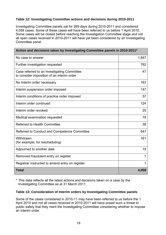#### **Table 12: Investigating Committee actions and decisions during 2010-2011**

Investigating Committee panels sat for 269 days during 2010-2011 and considered 4,058 cases. Some of these cases will have been referred to us before 1 April 2010. Some cases will be closed before reaching the Investigation Committee stage and not all open cases received in 2010-2011 will have yet been considered by an Investigating Committee panel.

| Action and decisions taken by Investigating Committee panels in 2010-2011*                |       |  |
|-------------------------------------------------------------------------------------------|-------|--|
| No case to answer                                                                         | 1,847 |  |
| Further investigation requested                                                           | 762   |  |
| Case referred to an Investigating Committee<br>to consider imposition of an interim order | 47    |  |
| No Interim order necessary                                                                | 163   |  |
| Interim suspension order imposed                                                          | 147   |  |
| Interim conditions of practice order imposed                                              | 57    |  |
| Interim order continued                                                                   | 124   |  |
| Interim order revoked                                                                     | 25    |  |
| Medical examination requested                                                             | 19    |  |
| <b>Referred to Health Committee</b>                                                       | 38    |  |
| Referred to Conduct and Competence Committee                                              | 647   |  |
| Withdrawn<br>(for example, for rescheduling)                                              | 161   |  |
| Adjourned to another date                                                                 | 19    |  |
| Removed fraudulent entry on register                                                      | 1     |  |
| Registrar instructed to amend entry on register                                           | 1     |  |
| <b>Total</b>                                                                              | 4,058 |  |

\* This data reflects all the latest actions and decisions taken on a case by the Investigating Committee as at 31 March 2011.

#### **Table 13: Consideration of Interim orders by Investigating Committee panels**

Some of the cases considered in 2010-11 may have been referred to us before the 1 April 2010 and not all cases received in 2010-2011 will have posed such a threat to public safety that they merit the Investigating Committee considering whether to impose an interim order.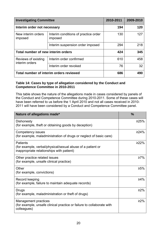| <b>Investigating Committee</b>        |                                                 | 2010-2011 | 2009-2010 |
|---------------------------------------|-------------------------------------------------|-----------|-----------|
| Interim order not necessary           |                                                 | 194       | 120       |
| New interim orders<br>imposed         | Interim conditions of practice order<br>imposed | 130       | 127       |
|                                       | Interim suspension order imposed                | 294       | 218       |
| Total number of new interim orders    |                                                 | 424       | 345       |
| Reviews of existing<br>interim orders | Interim order confirmed                         | 610       | 458       |
|                                       | Interim order revoked                           | 76        | 32        |
|                                       | Total number of interim orders reviewed         | 686       | 490       |

#### **Table 14: Cases by type of allegation considered by the Conduct and Competence Committee in 2010-2011**

This table shows the nature of the allegations made in cases considered by panels of the Conduct and Competence Committee during 2010-2011. Some of these cases will have been referred to us before the 1 April 2010 and not all cases received in 2010- 2011 will have been considered by a Conduct and Competence Committee panel.

| Nature of allegations made*                                                                                                | $\frac{0}{0}$ |
|----------------------------------------------------------------------------------------------------------------------------|---------------|
| Dishonesty<br>(for example, theft or obtaining goods by deception)                                                         | ≥25%          |
| Competency issues<br>(for example, maladministration of drugs or neglect of basic care)                                    | ≥24%          |
| <b>Patients</b><br>(for example, verbal/physical/sexual abuse of a patient or<br>inappropriate relationships with patient) | ≥22%          |
| Other practice related issues<br>(for example, unsafe clinical practice)                                                   | $\geq 7\%$    |
| Other<br>(for example, convictions)                                                                                        | ≥5%           |
| Record keeping<br>(for example, failure to maintain adequate records)                                                      | ≥4%           |
| Drugs<br>(for example, maladministration or theft of drugs)                                                                | ≥2%           |
| Management practices<br>(for example, unsafe clinical practice or failure to collaborate with<br>colleagues)               | ≥2%           |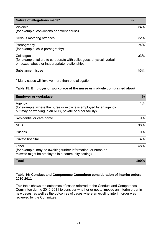| Nature of allegations made*                                                                                                           | $\frac{0}{0}$ |
|---------------------------------------------------------------------------------------------------------------------------------------|---------------|
| Violence<br>(for example, convictions or patient abuse)                                                                               | ≥4%           |
| Serious motoring offences                                                                                                             | $>2\%$        |
| Pornography<br>(for example, child pornography)                                                                                       | $\geq 4\%$    |
| Colleague<br>(for example, failure to co-operate with colleagues, physical, verbal<br>or sexual abuse or inappropriate relationships) | $\geq 3\%$    |
| Substance misuse                                                                                                                      | $>3\%$        |

\* Many cases will involve more than one allegation

#### **Table 15: Employer or workplace of the nurse or midwife complained about**

| <b>Employer or workplace</b>                                                                                                            | $\frac{0}{0}$ |
|-----------------------------------------------------------------------------------------------------------------------------------------|---------------|
| Agency<br>(for example, where the nurse or midwife is employed by an agency<br>but may be working in an NHS, private or other facility) | $1\%$         |
| Residential or care home                                                                                                                | 9%            |
| <b>NHS</b>                                                                                                                              | 38%           |
| Prisons                                                                                                                                 | $0\%$         |
| Private hospital                                                                                                                        | 4%            |
| Other<br>(for example, may be awaiting further information, or nurse or<br>midwife might be employed in a community setting)            | 48%           |
| <b>Total</b>                                                                                                                            | 100%          |

#### **Table 16: Conduct and Competence Committee consideration of interim orders 2010-2011**

This table shows the outcomes of cases referred to the Conduct and Competence Committee during 2010-2011 to consider whether or not to impose an interim order in new cases, as well as the outcomes of cases where an existing interim order was reviewed by the Committee.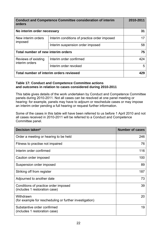| orders                                  | <b>Conduct and Competence Committee consideration of interim</b> | 2010-2011 |
|-----------------------------------------|------------------------------------------------------------------|-----------|
| No interim order necessary              |                                                                  | 31        |
| New interim orders<br>imposed           | Interim conditions of practice order imposed                     | 17        |
|                                         | Interim suspension order imposed                                 | 58        |
| Total number of new interim orders      |                                                                  | 75        |
| Reviews of existing<br>interim orders   | Interim order confirmed                                          | 424       |
|                                         | Interim order revoked                                            | 5         |
| Total number of interim orders reviewed |                                                                  | 429       |

#### **Table 17: Conduct and Competence Committee actions and outcomes in relation to cases considered during 2010-2011**

This table gives details of the work undertaken by Conduct and Competence Committee panels during 2010-2011. Not all cases can be resolved at one panel meeting or hearing: for example, panels may have to adjourn or reschedule cases or may impose an interim order pending a full hearing or request further information.

Some of the cases in this table will have been referred to us before 1 April 2010 and not all cases received in 2010-2011 will be referred to a Conduct and Competence Committee panel.

| <b>Decision taken*</b>                                                | <b>Number of cases</b> |
|-----------------------------------------------------------------------|------------------------|
| Order a meeting or hearing to be held                                 | 246                    |
| Fitness to practise not impaired                                      | 76                     |
| Interim order confirmed                                               | 116                    |
| Caution order imposed                                                 | 100                    |
| Suspension order imposed                                              | 89                     |
| Striking off from register                                            | 187                    |
| Adjourned to another date                                             | 73                     |
| Conditions of practice order imposed<br>(includes 1 restoration case) | 39                     |
| Withdrawn<br>(for example for rescheduling or further investigation)  | 20                     |
| Substantive order confirmed<br>(includes 1 restoration case)          | 19                     |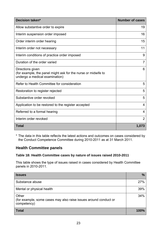| Decision taken*                                                                                                     | <b>Number of cases</b> |
|---------------------------------------------------------------------------------------------------------------------|------------------------|
| Allow substantive order to expire                                                                                   | 19                     |
| Interim suspension order imposed                                                                                    | 16                     |
| Order interim order hearing                                                                                         | 15                     |
| Interim order not necessary                                                                                         | 11                     |
| Interim conditions of practice order imposed                                                                        | 9                      |
| Duration of the order varied                                                                                        | $\overline{7}$         |
| Directions given<br>(for example, the panel might ask for the nurse or midwife to<br>undergo a medical examination) | 6                      |
| Refer to Health Committee for consideration                                                                         | 5                      |
| Restoration to register rejected                                                                                    | 5                      |
| Substantive order revoked                                                                                           | 5                      |
| Application to be restored to the register accepted                                                                 | 4                      |
| Referred to a formal hearing                                                                                        | 4                      |
| Interim order revoked                                                                                               | $\overline{2}$         |
| <b>Total</b>                                                                                                        | 1,073                  |

\* The data in this table reflects the latest actions and outcomes on cases considered by the Conduct Competence Committee during 2010-2011 as at 31 March 2011.

### **Health Committee panels**

#### **Table 18: Health Committee cases by nature of issues raised 2010-2011**

This table shows the type of issues raised in cases considered by Health Committee panels in 2010-2011.

| <b>Issues</b>                                                                            | $\frac{0}{0}$ |
|------------------------------------------------------------------------------------------|---------------|
| Substance abuse                                                                          | 27%           |
| Mental or physical health                                                                | 39%           |
| Other<br>(for example, some cases may also raise issues around conduct or<br>competency) | 34%           |
| <b>Total</b>                                                                             | 100%          |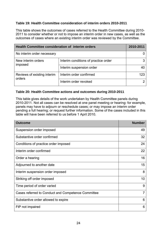#### **Table 19: Health Committee consideration of interim orders 2010-2011**

This table shows the outcomes of cases referred to the Health Committee during 2010- 2011 to consider whether or not to impose an interim order in new cases, as well as the outcomes of cases where an existing interim order was reviewed by the Committee.

| <b>Health Committee consideration of interim orders</b> |                                      | 2010-2011 |
|---------------------------------------------------------|--------------------------------------|-----------|
| No interim order necessary                              |                                      |           |
| New interim orders<br>imposed                           | Interim conditions of practice order |           |
|                                                         | Interim suspension order             |           |
| Reviews of existing interim<br>orders                   | Interim order confirmed              | 123       |
|                                                         | Interim order revoked                |           |

#### **Table 20: Health Committee actions and outcomes during 2010-2011**

This table gives details of the work undertaken by Health Committee panels during 2010-2011. Not all cases can be resolved at one panel meeting or hearing: for example, panels may have to adjourn or reschedule cases; or may impose an interim order pending a full hearing; or request further information. Some of the cases included in this table will have been referred to us before 1 April 2010.

| <b>Outcome</b>                                     | <b>Number</b> |
|----------------------------------------------------|---------------|
| Suspension order imposed                           | 49            |
| Substantive order confirmed                        | 32            |
| Conditions of practice order imposed               | 24            |
| Interim order confirmed                            | 22            |
| Order a hearing                                    | 16            |
| Adjourned to another date                          | 15            |
| Interim suspension order imposed                   | 8             |
| Striking off order imposed                         | 10            |
| Time period of order varied                        | 9             |
| Cases referred to Conduct and Competence Committee | 7             |
| Substantive order allowed to expire                | 6             |
| FtP not impaired                                   | 6             |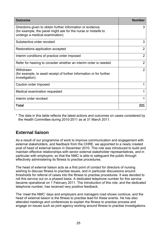| <b>Outcome</b>                                                                                                                                                | <b>Number</b>  |
|---------------------------------------------------------------------------------------------------------------------------------------------------------------|----------------|
| Directions given to obtain further information or evidence<br>(for example, the panel might ask for the nurse or midwife to<br>undergo a medical examination) | 3              |
| Substantive order revoked                                                                                                                                     | 3              |
| Restorations application accepted                                                                                                                             | $\overline{2}$ |
| Interim conditions of practice order imposed                                                                                                                  | 2              |
| Refer for hearing to consider whether an interim order is needed                                                                                              | $\overline{2}$ |
| Withdrawn<br>(for example, to await receipt of further information or for further<br>investigation)                                                           | $\overline{2}$ |
| Caution order imposed                                                                                                                                         |                |
| Medical examination requested                                                                                                                                 |                |
| Interim order revoked                                                                                                                                         |                |
| Total                                                                                                                                                         | 221            |

\* The data in this table reflects the latest actions and outcomes on cases considered by the Health Committee during 2010-2011 as at 31 March 2011.

### **External liaison**

As a result of our programme of work to improve communication and engagement with external stakeholders, and feedback from the CHRE, we appointed to a newly created post of head of external liaison in December 2010. This role was introduced to build and maintain effective relationships with senior external stakeholder representatives, and in particular with employers, so that the NMC is able to safeguard the public through effectively administering its fitness to practise procedures.

The head of external liaison acts as a first point of contact for directors of nursing wishing to discuss fitness to practise issues, and in particular discussions around thresholds for referral of cases into the fitness to practise procedures. It was decided to roll this service out on a phased basis. A dedicated telephone number for this service became operational on 1 February 2011. The introduction of this role, and the dedicated telephone number, has received very positive feedback.

The 'meet the NMC' days and employers and managers road shows continue, and the head of external liaison is the fitness to practise lead for these events. He has also attended meetings and conferences to explain the fitness to practise process and engage on issues such as joint agency working around fitness to practise investigations.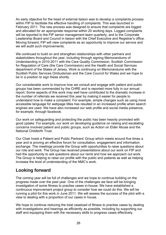An early objective for the head of external liaison was to develop a complaints process within FtP to facilitate the effective handling of complaints. This was launched in February 2011. The new process was designed to ensure that complaints are logged and allocated for an appropriate response within 20 working days. Logged complaints will be reported to the FtP senior management team quarterly, and to the Corporate Leadership Board and Council in liaison with the Chief Executive and Registrar's office. Moving forward, FtP will view complaints as an opportunity to improve our service and we will audit such improvements.

We continued to build on and strengthen relationships with other partners and stakeholders throughout the year, including through signing Memorandums of Understanding in 2010-2011 with the Care Quality Commission, Scottish Commission for Regulation of Care (the Care Commission) and the Health and Social Services department of the States of Jersey. Work is continuing on Memorandums with the Scottish Public Services Ombudsman and the Care Council for Wales and we hope to be in a position to sign these shortly.

Our considerable work to improve how we consult and engage with patient and public groups has been commended by the CHRE and is reported more fully in our annual report. Some aspects of this work may well have contributed to the dramatic increase in the number of referrals we received this year by making it easier for people to understand how to make a complaint. For example, simple changes such as using more accessible language for webpage titles has resulted in an increased profile when search engines are used. We have also increased our web profile and social media presence, for example, through facebook.

Our work on safeguarding and protecting the public has been heavily promoted with good uptake. For example, our work on developing guidance on raising and escalating concerns involved patient and public groups, such as Action on Elder Abuse and the National Childbirth Trust.

Our Chair hosts a Patient and Public Partners' Group which meets around five times a year and is proving an effective forum for consultation, engagement and information exchange. The meetings provide the Group with opportunities to raise questions about our role and work. The Group has received presentations about our work on FtP and had the opportunity to ask questions about our remit and how we approach out work. The Group is helping to raise our profile with the public and patients as well as helping increase the level of understanding of the NMC's work.

### **Looking forward**

The coming year will be full of challenges and we hope to continue building on the progress made over the past year. One of the challenges we face will be bringing investigation of some fitness to practise cases in-house. We have established a continuous improvement project group to consider how we could do this. We will be running a pilot for this work in June 2011. We will assess the success of the pilot with a view to dealing with a proportion of our cases in house.

We hope to continue reducing the total caseload of fitness to practise cases by dealing with investigations and hearings as efficiently as possible, including by supporting our staff and equipping them with the necessary skills to progress cases effectively.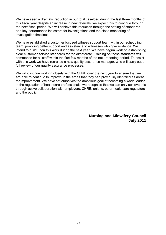We have seen a dramatic reduction in our total caseload during the last three months of this fiscal year despite an increase in new referrals; we expect this to continue through the next fiscal period. We will achieve this reduction through the setting of standards and key performance indicators for investigations and the close monitoring of investigation timelines.

We have established a customer focused witness support team within our scheduling team, providing better support and assistance to witnesses who give evidence. We intend to build upon this work during the next year. We have begun work on establishing clear customer service standards for the directorate. Training on these standards will commence for all staff within the first few months of the next reporting period. To assist with this work we have recruited a new quality assurance manager, who will carry out a full review of our quality assurance processes.

We will continue working closely with the CHRE over the next year to ensure that we are able to continue to improve in the areas that they had previously identified as areas for improvement. We have set ourselves the ambitious goal of becoming a world leader in the regulation of healthcare professionals; we recognise that we can only achieve this through active collaboration with employers, CHRE, unions, other healthcare regulators and the public.

> **Nursing and Midwifery Council July 2011**